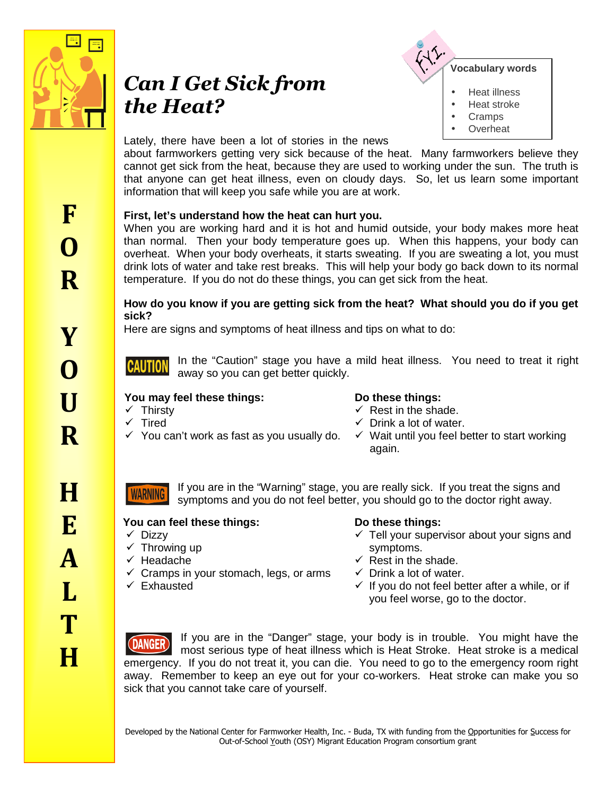

# *Can I Get Sick from the Heat?*



**Overheat** 

## Lately, there have been a lot of stories in the news

about farmworkers getting very sick because of the heat. Many farmworkers believe they cannot get sick from the heat, because they are used to working under the sun. The truth is that anyone can get heat illness, even on cloudy days. So, let us learn some important information that will keep you safe while you are at work.

# **First, let's understand how the heat can hurt you.**

When you are working hard and it is hot and humid outside, your body makes more heat than normal. Then your body temperature goes up. When this happens, your body can overheat. When your body overheats, it starts sweating. If you are sweating a lot, you must drink lots of water and take rest breaks. This will help your body go back down to its normal temperature. If you do not do these things, you can get sick from the heat.

### **How do you know if you are getting sick from the heat? What should you do if you get sick?**

Here are signs and symptoms of heat illness and tips on what to do:

In the "Caution" stage you have a mild heat illness. You need to treat it right **CAUTION** away so you can get better quickly.

### **You may feel these things: Do these things:**  $\checkmark$  Thirsty

- $\checkmark$  Rest in the shade.
- $\checkmark$  Drink a lot of water.
- $\checkmark$  Wait until you feel better to start working again.

If you are in the "Warning" stage, you are really sick. If you treat the signs and **WARNING** symptoms and you do not feel better, you should go to the doctor right away.

# **You can feel these things: Do these things:**

 $\checkmark$  Dizzy

 $\checkmark$  Tired

- $\checkmark$  Throwing up
- $\checkmark$  Headache
- $\checkmark$  Cramps in your stomach, legs, or arms

 $\checkmark$  You can't work as fast as you usually do.

 $\checkmark$  Exhausted

- $\checkmark$  Tell your supervisor about your signs and symptoms.
- $\checkmark$  Rest in the shade.
- $\checkmark$  Drink a lot of water.
- $\checkmark$  If you do not feel better after a while, or if you feel worse, go to the doctor.

If you are in the "Danger" stage, your body is in trouble. You might have the **(DANGER** most serious type of heat illness which is Heat Stroke. Heat stroke is a medical emergency. If you do not treat it, you can die. You need to go to the emergency room right away. Remember to keep an eye out for your co-workers. Heat stroke can make you so sick that you cannot take care of yourself.

Developed by the National Center for Farmworker Health, Inc. - Buda, TX with funding from the Opportunities for Success for Out-of-School Youth (OSY) Migrant Education Program consortium grant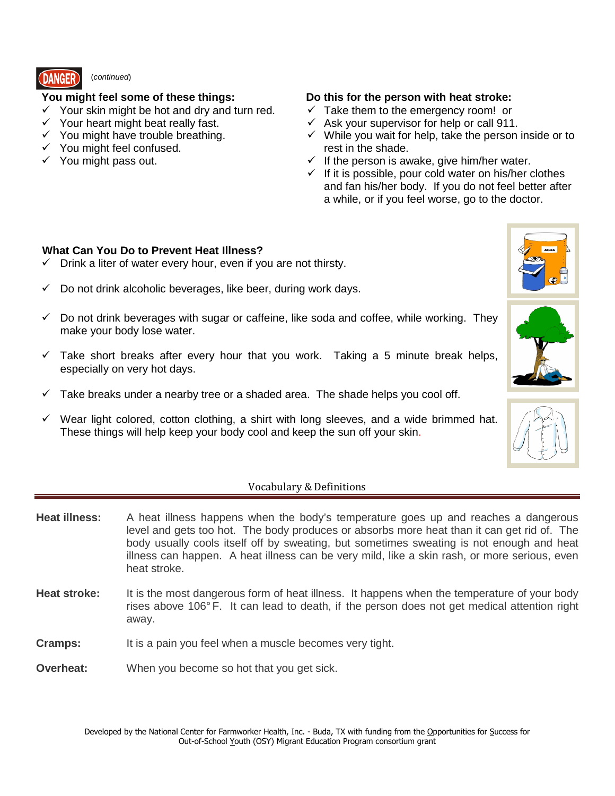

# (continued)

- $\checkmark$  Your skin might be hot and dry and turn red.
- $\checkmark$  Your heart might beat really fast.
- $\checkmark$  You might have trouble breathing.
- $\checkmark$  You might feel confused.
- $\checkmark$  You might pass out.

# **You might feel some of these things: Do this for the person with heat stroke:**

- $\checkmark$  Take them to the emergency room! or
- $\checkmark$  Ask your supervisor for help or call 911.
- $\checkmark$  While you wait for help, take the person inside or to rest in the shade.
- $\checkmark$  If the person is awake, give him/her water.
- $\checkmark$  If it is possible, pour cold water on his/her clothes and fan his/her body. If you do not feel better after a while, or if you feel worse, go to the doctor.

### **What Can You Do to Prevent Heat Illness?**

- $\checkmark$  Drink a liter of water every hour, even if you are not thirsty.
- $\checkmark$  Do not drink alcoholic beverages, like beer, during work days.
- $\checkmark$  Do not drink beverages with sugar or caffeine, like soda and coffee, while working. They make your body lose water.
- $\checkmark$  Take short breaks after every hour that you work. Taking a 5 minute break helps, especially on very hot days.
- $\checkmark$  Take breaks under a nearby tree or a shaded area. The shade helps you cool off.
- $\checkmark$  Wear light colored, cotton clothing, a shirt with long sleeves, and a wide brimmed hat. These things will help keep your body cool and keep the sun off your skin.

### Vocabulary & Definitions

- **Heat illness:** A heat illness happens when the body's temperature goes up and reaches a dangerous level and gets too hot. The body produces or absorbs more heat than it can get rid of. The body usually cools itself off by sweating, but sometimes sweating is not enough and heat illness can happen. A heat illness can be very mild, like a skin rash, or more serious, even heat stroke.
- **Heat stroke:** It is the most dangerous form of heat illness. It happens when the temperature of your body rises above 106° F. It can lead to death, if the person does not get medical attention right away.
- **Cramps:** It is a pain you feel when a muscle becomes very tight.
- **Overheat:** When you become so hot that you get sick.





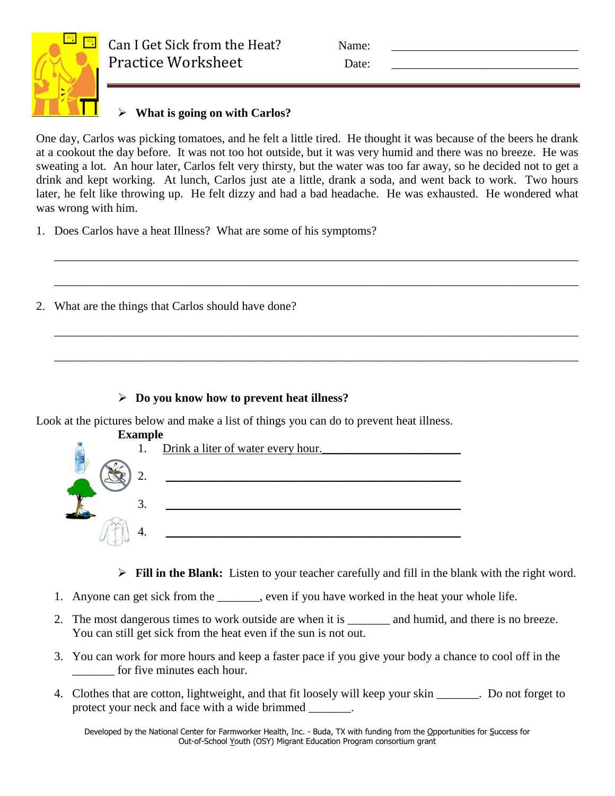

# Can I Get Sick from the Heat? Name: Practice Worksheet Date:

# **What is going on with Carlos?**

One day, Carlos was picking tomatoes, and he felt a little tired. He thought it was because of the beers he drank at a cookout the day before. It was not too hot outside, but it was very humid and there was no breeze. He was sweating a lot. An hour later, Carlos felt very thirsty, but the water was too far away, so he decided not to get a drink and kept working. At lunch, Carlos just ate a little, drank a soda, and went back to work. Two hours later, he felt like throwing up. He felt dizzy and had a bad headache. He was exhausted. He wondered what was wrong with him.

\_\_\_\_\_\_\_\_\_\_\_\_\_\_\_\_\_\_\_\_\_\_\_\_\_\_\_\_\_\_\_\_\_\_\_\_\_\_\_\_\_\_\_\_\_\_\_\_\_\_\_\_\_\_\_\_\_\_\_\_\_\_\_\_\_\_\_\_\_\_\_\_\_\_\_\_\_\_\_\_\_\_\_\_\_\_\_

\_\_\_\_\_\_\_\_\_\_\_\_\_\_\_\_\_\_\_\_\_\_\_\_\_\_\_\_\_\_\_\_\_\_\_\_\_\_\_\_\_\_\_\_\_\_\_\_\_\_\_\_\_\_\_\_\_\_\_\_\_\_\_\_\_\_\_\_\_\_\_\_\_\_\_\_\_\_\_\_\_\_\_\_\_\_\_

\_\_\_\_\_\_\_\_\_\_\_\_\_\_\_\_\_\_\_\_\_\_\_\_\_\_\_\_\_\_\_\_\_\_\_\_\_\_\_\_\_\_\_\_\_\_\_\_\_\_\_\_\_\_\_\_\_\_\_\_\_\_\_\_\_\_\_\_\_\_\_\_\_\_\_\_\_\_\_\_\_\_\_\_\_\_\_

\_\_\_\_\_\_\_\_\_\_\_\_\_\_\_\_\_\_\_\_\_\_\_\_\_\_\_\_\_\_\_\_\_\_\_\_\_\_\_\_\_\_\_\_\_\_\_\_\_\_\_\_\_\_\_\_\_\_\_\_\_\_\_\_\_\_\_\_\_\_\_\_\_\_\_\_\_\_\_\_\_\_\_\_\_\_\_

- 1. Does Carlos have a heat Illness? What are some of his symptoms?
- 2. What are the things that Carlos should have done?

# **Do you know how to prevent heat illness?**

Look at the pictures below and make a list of things you can do to prevent heat illness.

| <b>Example</b> |                                    |
|----------------|------------------------------------|
| 1.             | Drink a liter of water every hour. |
|                |                                    |
| 3.             |                                    |
|                |                                    |

**Fill in the Blank:** Listen to your teacher carefully and fill in the blank with the right word.

- 1. Anyone can get sick from the \_\_\_\_\_\_, even if you have worked in the heat your whole life.
- 2. The most dangerous times to work outside are when it is and humid, and there is no breeze. You can still get sick from the heat even if the sun is not out.
- 3. You can work for more hours and keep a faster pace if you give your body a chance to cool off in the for five minutes each hour.
- 4. Clothes that are cotton, lightweight, and that fit loosely will keep your skin \_\_\_\_\_\_\_. Do not forget to protect your neck and face with a wide brimmed \_\_\_\_\_\_\_.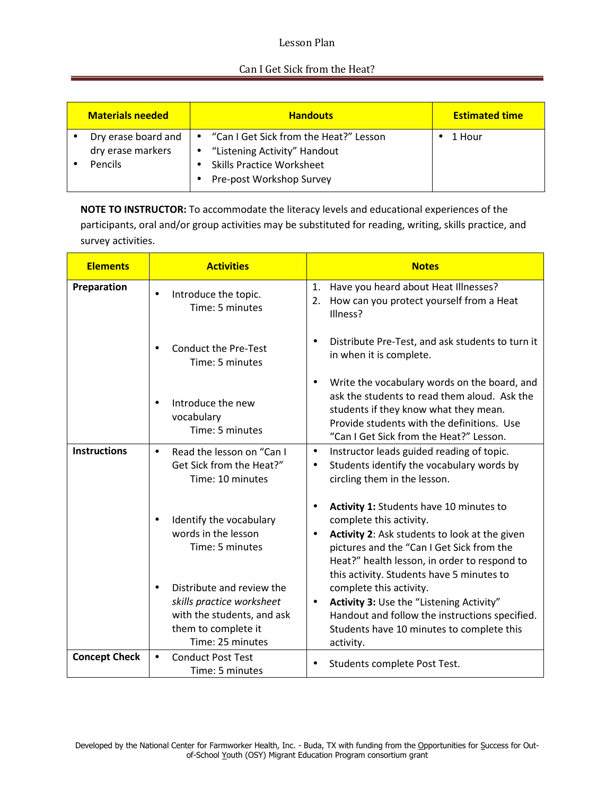## Lesson Plan

### Can I Get Sick from the Heat?

| <b>Materials needed</b>                             | <b>Handouts</b>                                                                                | <b>Estimated time</b> |
|-----------------------------------------------------|------------------------------------------------------------------------------------------------|-----------------------|
| Dry erase board and<br>dry erase markers<br>Pencils | • "Listening Activity" Handout<br><b>Skills Practice Worksheet</b><br>Pre-post Workshop Survey | 1 Hour                |

**NOTE TO INSTRUCTOR:** To accommodate the literacy levels and educational experiences of the participants, oral and/or group activities may be substituted for reading, writing, skills practice, and survey activities.

| <b>Elements</b>      | <b>Activities</b>                                                                                                               | <b>Notes</b>                                                                                                                                                                                                                                                               |
|----------------------|---------------------------------------------------------------------------------------------------------------------------------|----------------------------------------------------------------------------------------------------------------------------------------------------------------------------------------------------------------------------------------------------------------------------|
| Preparation          | Introduce the topic.<br>$\bullet$<br>Time: 5 minutes                                                                            | Have you heard about Heat Illnesses?<br>1.<br>How can you protect yourself from a Heat<br>2.<br>Illness?                                                                                                                                                                   |
|                      | <b>Conduct the Pre-Test</b><br>Time: 5 minutes                                                                                  | Distribute Pre-Test, and ask students to turn it<br>in when it is complete.                                                                                                                                                                                                |
|                      | Introduce the new<br>$\bullet$<br>vocabulary<br>Time: 5 minutes                                                                 | Write the vocabulary words on the board, and<br>ask the students to read them aloud. Ask the<br>students if they know what they mean.<br>Provide students with the definitions. Use<br>"Can I Get Sick from the Heat?" Lesson.                                             |
| <b>Instructions</b>  | Read the lesson on "Can I<br>$\bullet$<br>Get Sick from the Heat?"<br>Time: 10 minutes                                          | Instructor leads guided reading of topic.<br>$\bullet$<br>Students identify the vocabulary words by<br>$\bullet$<br>circling them in the lesson.                                                                                                                           |
|                      | Identify the vocabulary<br>words in the lesson<br>Time: 5 minutes                                                               | Activity 1: Students have 10 minutes to<br>complete this activity.<br>Activity 2: Ask students to look at the given<br>$\bullet$<br>pictures and the "Can I Get Sick from the<br>Heat?" health lesson, in order to respond to<br>this activity. Students have 5 minutes to |
|                      | Distribute and review the<br>skills practice worksheet<br>with the students, and ask<br>them to complete it<br>Time: 25 minutes | complete this activity.<br>Activity 3: Use the "Listening Activity"<br>$\bullet$<br>Handout and follow the instructions specified.<br>Students have 10 minutes to complete this<br>activity.                                                                               |
| <b>Concept Check</b> | <b>Conduct Post Test</b><br>$\bullet$<br>Time: 5 minutes                                                                        | Students complete Post Test.<br>$\bullet$                                                                                                                                                                                                                                  |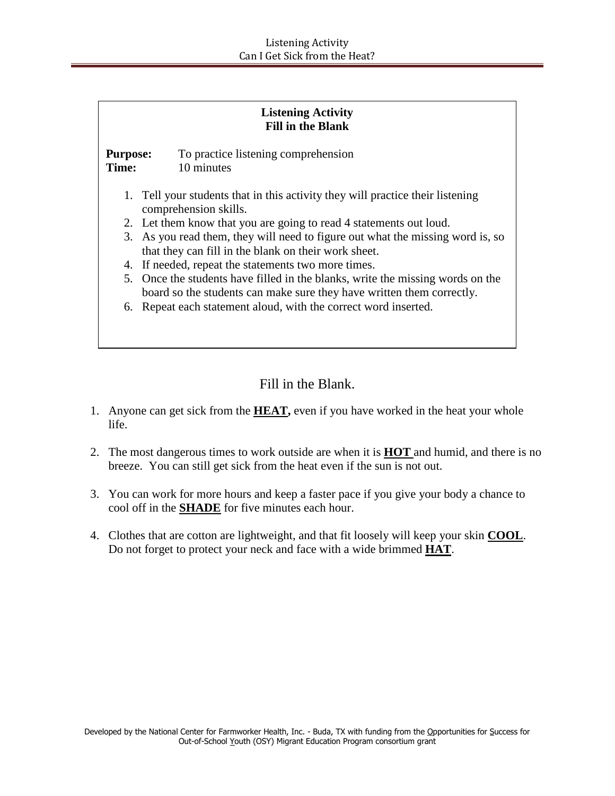| <b>Listening Activity</b> |                          |  |
|---------------------------|--------------------------|--|
|                           | <b>Fill in the Blank</b> |  |

**Purpose:** To practice listening comprehension **Time:** 10 minutes

- 1. Tell your students that in this activity they will practice their listening comprehension skills.
- 2. Let them know that you are going to read 4 statements out loud.
- 3. As you read them, they will need to figure out what the missing word is, so that they can fill in the blank on their work sheet.
- 4. If needed, repeat the statements two more times.
- 5. Once the students have filled in the blanks, write the missing words on the board so the students can make sure they have written them correctly.
- 6. Repeat each statement aloud, with the correct word inserted.

Fill in the Blank.

- 1. Anyone can get sick from the **HEAT,** even if you have worked in the heat your whole life.
- 2. The most dangerous times to work outside are when it is **HOT** and humid, and there is no breeze. You can still get sick from the heat even if the sun is not out.
- 3. You can work for more hours and keep a faster pace if you give your body a chance to cool off in the **SHADE** for five minutes each hour.
- 4. Clothes that are cotton are lightweight, and that fit loosely will keep your skin **COOL**. Do not forget to protect your neck and face with a wide brimmed **HAT**.